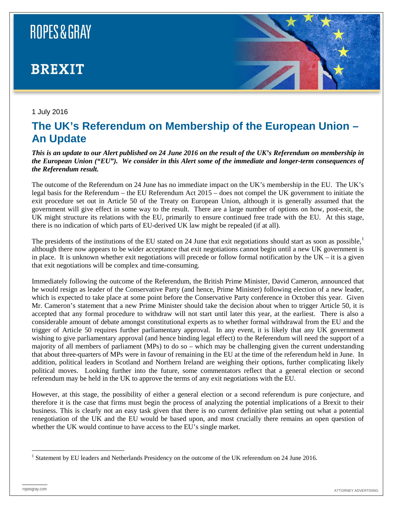

#### 1 July 2016

### **The UK's Referendum on Membership of the European Union – An Update**

*This is an update to our Alert published on 24 June 2016 on the result of the UK's Referendum on membership in the European Union ("EU"). We consider in this Alert some of the immediate and longer-term consequences of the Referendum result.*

The outcome of the Referendum on 24 June has no immediate impact on the UK's membership in the EU. The UK's legal basis for the Referendum – the EU Referendum Act 2015 – does not compel the UK government to initiate the exit procedure set out in Article 50 of the Treaty on European Union, although it is generally assumed that the government will give effect in some way to the result. There are a large number of options on how, post-exit, the UK might structure its relations with the EU, primarily to ensure continued free trade with the EU. At this stage, there is no indication of which parts of EU-derived UK law might be repealed (if at all).

The presidents of the institutions of the EU stated on 24 June that exit negotiations should start as soon as possible, $\frac{1}{1}$  $\frac{1}{1}$  $\frac{1}{1}$ although there now appears to be wider acceptance that exit negotiations cannot begin until a new UK government is in place. It is unknown whether exit negotiations will precede or follow formal notification by the  $UK - it$  is a given that exit negotiations will be complex and time-consuming.

Immediately following the outcome of the Referendum, the British Prime Minister, David Cameron, announced that he would resign as leader of the Conservative Party (and hence, Prime Minister) following election of a new leader, which is expected to take place at some point before the Conservative Party conference in October this year. Given Mr. Cameron's statement that a new Prime Minister should take the decision about when to trigger Article 50, it is accepted that any formal procedure to withdraw will not start until later this year, at the earliest. There is also a considerable amount of debate amongst constitutional experts as to whether formal withdrawal from the EU and the trigger of Article 50 requires further parliamentary approval. In any event, it is likely that any UK government wishing to give parliamentary approval (and hence binding legal effect) to the Referendum will need the support of a majority of all members of parliament (MPs) to do so – which may be challenging given the current understanding that about three-quarters of MPs were in favour of remaining in the EU at the time of the referendum held in June. In addition, political leaders in Scotland and Northern Ireland are weighing their options, further complicating likely political moves. Looking further into the future, some commentators reflect that a general election or second referendum may be held in the UK to approve the terms of any exit negotiations with the EU.

However, at this stage, the possibility of either a general election or a second referendum is pure conjecture, and therefore it is the case that firms must begin the process of analyzing the potential implications of a Brexit to their business. This is clearly not an easy task given that there is no current definitive plan setting out what a potential renegotiation of the UK and the EU would be based upon, and most crucially there remains an open question of whether the UK would continue to have access to the EU's single market.

<span id="page-0-0"></span> <sup>1</sup> Statement by EU leaders and Netherlands Presidency on the outcome of the UK referendum on 24 June 2016.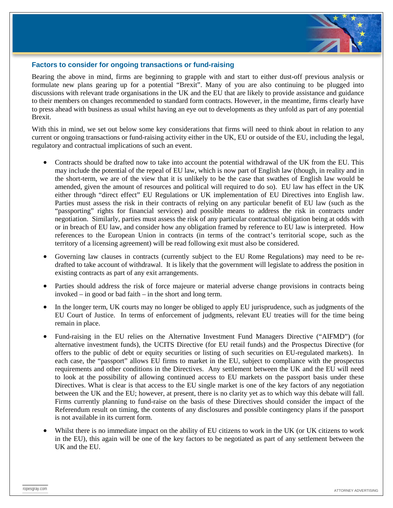

#### **Factors to consider for ongoing transactions or fund-raising**

Bearing the above in mind, firms are beginning to grapple with and start to either dust-off previous analysis or formulate new plans gearing up for a potential "Brexit". Many of you are also continuing to be plugged into discussions with relevant trade organisations in the UK and the EU that are likely to provide assistance and guidance to their members on changes recommended to standard form contracts. However, in the meantime, firms clearly have to press ahead with business as usual whilst having an eye out to developments as they unfold as part of any potential Brexit.

With this in mind, we set out below some key considerations that firms will need to think about in relation to any current or ongoing transactions or fund-raising activity either in the UK, EU or outside of the EU, including the legal, regulatory and contractual implications of such an event.

- Contracts should be drafted now to take into account the potential withdrawal of the UK from the EU. This may include the potential of the repeal of EU law, which is now part of English law (though, in reality and in the short-term, we are of the view that it is unlikely to be the case that swathes of English law would be amended, given the amount of resources and political will required to do so). EU law has effect in the UK either through "direct effect" EU Regulations or UK implementation of EU Directives into English law. Parties must assess the risk in their contracts of relying on any particular benefit of EU law (such as the "passporting" rights for financial services) and possible means to address the risk in contracts under negotiation. Similarly, parties must assess the risk of any particular contractual obligation being at odds with or in breach of EU law, and consider how any obligation framed by reference to EU law is interpreted. How references to the European Union in contracts (in terms of the contract's territorial scope, such as the territory of a licensing agreement) will be read following exit must also be considered.
- Governing law clauses in contracts (currently subject to the EU Rome Regulations) may need to be redrafted to take account of withdrawal. It is likely that the government will legislate to address the position in existing contracts as part of any exit arrangements.
- Parties should address the risk of force majeure or material adverse change provisions in contracts being invoked – in good or bad faith – in the short and long term.
- In the longer term, UK courts may no longer be obliged to apply EU jurisprudence, such as judgments of the EU Court of Justice. In terms of enforcement of judgments, relevant EU treaties will for the time being remain in place.
- Fund-raising in the EU relies on the Alternative Investment Fund Managers Directive ("AIFMD") (for alternative investment funds), the UCITS Directive (for EU retail funds) and the Prospectus Directive (for offers to the public of debt or equity securities or listing of such securities on EU-regulated markets). In each case, the "passport" allows EU firms to market in the EU, subject to compliance with the prospectus requirements and other conditions in the Directives. Any settlement between the UK and the EU will need to look at the possibility of allowing continued access to EU markets on the passport basis under these Directives. What is clear is that access to the EU single market is one of the key factors of any negotiation between the UK and the EU; however, at present, there is no clarity yet as to which way this debate will fall. Firms currently planning to fund-raise on the basis of these Directives should consider the impact of the Referendum result on timing, the contents of any disclosures and possible contingency plans if the passport is not available in its current form.
- Whilst there is no immediate impact on the ability of EU citizens to work in the UK (or UK citizens to work in the EU), this again will be one of the key factors to be negotiated as part of any settlement between the UK and the EU.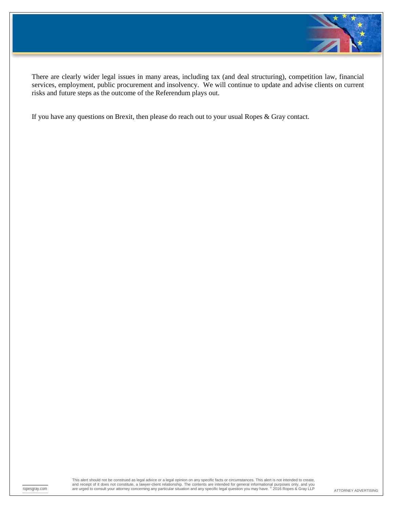

There are clearly wider legal issues in many areas, including tax (and deal structuring), competition law, financial services, employment, public procurement and insolvency. We will continue to update and advise clients on current risks and future steps as the outcome of the Referendum plays out.

If you have any questions on Brexit, then please do reach out to your usual Ropes & Gray contact.

ropesgray.com are urged to consult your attorney concerning any particular situation and any specific legal question you may have. <sup>©</sup> 2016 Ropes & Gray LLP <sub>ATTORNEY</sub> ADVERTISING This alert should not be construed as legal advice or a legal opinion on any specific facts or circumstances. This alert is not intended to create,<br>and receipt of it does not constitute, a lawyer-client relationship. The